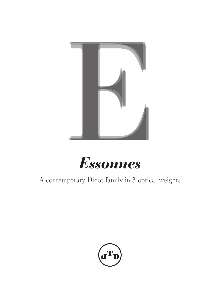



A contemporary Didot family in 3 optical weights

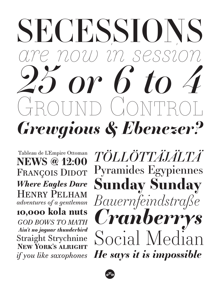# SECESSIONS *are now in session Grewgious & Ebenezer? 25 or 6 to 4* D (IONTT

Tableau de L'Empire Ottoman **NEWS @ 12:00** *Where Eagles Dare GOD BOWS TO MATH* **10,000 kola nuts** Henry Pelham *adventures of a gentleman* Straight Strychnine *Ain't no jaguar thunderbird* **New York's alright** *if you like saxophones*

FRANÇOIS DIDOT Pyramides Egypiennes *Bauernfeindstraße TÖLLÖTTÄJÄLTÄ* **Sunday Sunday** *Cranberrys* Social Median *He says it is impossible*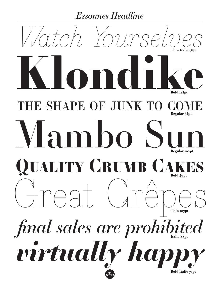# *Essonnes Headline*

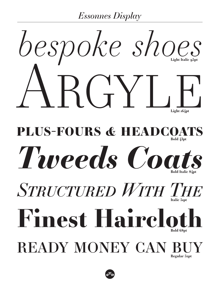*Essonnes Display*

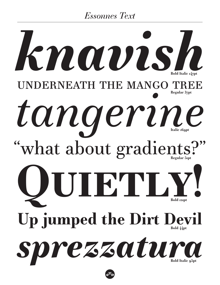*Essonnes Text*

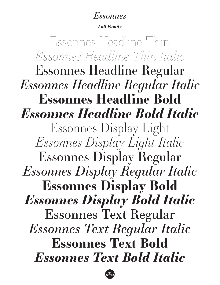## *Essonnes*

### *Full Family*

Essonnes Headline Regular **Essonnes Headline Bold** Essonnes Display Light Essonnes Display Regular **Essonnes Display Bold** Essonnes Text Regular **Essonnes Text Bold** *Essonnes Headline Regular Italic Essonnes Display Light Italic Essonnes Display Regular Italic Essonnes Display Bold Italic Essonnes Text Regular Italic Essonnes Text Bold Italic Essonnes Headline Bold Italic Essonnes Headline Thin Italic* Essonnes Headline Thin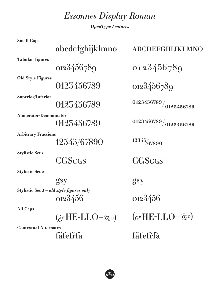*Essonnes Display Roman*

*OpenType Features*

| <b>Small Caps</b>                          |                                                                                                                     |                                                                                                                       |
|--------------------------------------------|---------------------------------------------------------------------------------------------------------------------|-----------------------------------------------------------------------------------------------------------------------|
|                                            | abcdefghijklmno                                                                                                     | <b>ABCDEFGHIJKLMNO</b>                                                                                                |
| <b>Tabular Figures</b>                     |                                                                                                                     |                                                                                                                       |
|                                            | 0123456789                                                                                                          | 0123456789                                                                                                            |
| <b>Old Style Figures</b>                   |                                                                                                                     |                                                                                                                       |
|                                            | 0123456789                                                                                                          | 0123456789                                                                                                            |
| <b>Superior/Inferior</b>                   |                                                                                                                     |                                                                                                                       |
|                                            | 0123456789                                                                                                          | $\left  \frac{0123456789}{0123456789} \right $                                                                        |
| <b>Numerator/Denominator</b>               |                                                                                                                     |                                                                                                                       |
|                                            | 0123456789                                                                                                          | $\left  \frac{0123456789}{0123456789} \right.$                                                                        |
| <b>Arbitrary Fractions</b>                 |                                                                                                                     |                                                                                                                       |
|                                            | 12345/67890                                                                                                         | 12345/67890                                                                                                           |
| <b>Stylistic Set 1</b>                     |                                                                                                                     |                                                                                                                       |
|                                            | <b>CGSCGS</b>                                                                                                       | <b>CGSCGS</b>                                                                                                         |
| <b>Stylistic Set 2</b>                     |                                                                                                                     |                                                                                                                       |
|                                            | gsy                                                                                                                 | gsy                                                                                                                   |
| Stylistic Set $3$ – old style figures only |                                                                                                                     |                                                                                                                       |
|                                            | 0123456                                                                                                             | 0123456                                                                                                               |
| <b>All Caps</b>                            |                                                                                                                     |                                                                                                                       |
|                                            | $(\dot{\mathbf{G}}^{\alpha} \mathbf{H} \mathbf{E}\text{-}\mathbf{L} \mathbf{L} \mathbf{O}-\mathbf{Q}^{\mathbf{D}})$ | $(\dot{\mathbf{G}}^{\alpha} \mathbf{H} \mathbf{E} \text{-} \mathbf{L} \mathbf{L} \mathbf{O} - \mathbf{Q} \mathbf{D})$ |
| <b>Contextual Alternates</b>               |                                                                                                                     |                                                                                                                       |
|                                            | fäfefrfà                                                                                                            | fäfefrfà                                                                                                              |
|                                            |                                                                                                                     |                                                                                                                       |

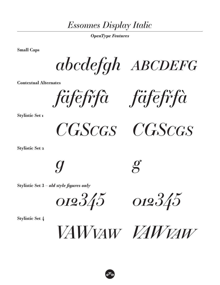*Essonnes Display Italic*

*OpenType Features*

**Small Caps**

*abcdefgh abcdefg*

**Contextual Alternates**

*fäfēfřfà fäfēfřfà*

**Stylistic Set 1**

*CGScgs CGScgs*

**Stylistic Set 2**

*g g*

**Stylistic Set 3 –** *old style figures only*

*012345 012345*

**Stylistic Set 4**

*VAWvaw VAWvaw*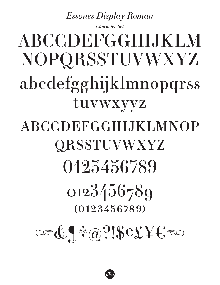# **Essones Display Roman**

Character Set

# **ABCCDEFGGHLIKLM** NOPQRSSTUVWXYZ abcdefgghijklmnopqrss tuvwxyyz ABCCDEFGGHIJKLMNOP **QRSSTUVWXYZ** 0123456789 0123456789  $(0123456789)$  $= 6.1402$ ?!\$¢£¥€

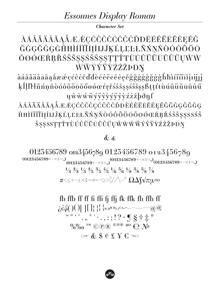# **Essonnes Display Roman**

**Character Set** 

## *AAAAAAAAAAÆÆÇĆĈČČČČČČDDÈÉÊËĒËEEĚĜ* ĞĠĢĞĜĢĠĤĦÌÍÎĨĨĨĮİIJĴĶĹĻĽĿŁÑŃŅŇÒÓÔÕŌ ŎØÓŒŔŖŘŚŜŠŞŞŚŠŜŞŞŢŢŤŦÙÚÛÜŨŨŬŰŲŴŴ ŴŴÝŶŸŶŹŻŽÞĐŊ

 $\hat{a} \hat{a} \hat{a} \tilde{a} \tilde{a} \tilde{a} \tilde{a} \tilde{a} \tilde{a} \hat{a} \hat{a} \hat{e} \hat{e} \hat{c} \hat{c} \hat{c} \tilde{c} \tilde{c} \tilde{d} \tilde{d} \tilde{e} \hat{e} \hat{e} \tilde{e} \tilde{e} \tilde{e} \hat{e} \hat{e} \hat{e} \hat{g} \tilde{g} \tilde{g} \tilde{g} \tilde{g} \tilde{g} \tilde{g} \tilde{h} \tilde{h} \tilde{h} \til$ kllll·lñnnndooooooooooorrrrsssssssssssssttttuuuuuuuu *u*ŵwwwyyyyyyyyzzzbdnf

*AÁÂÃÄÄĂĄÅÆÉÇĆĈČĊÇĆĈČĊĎĐÈÉÊËĒĔĖĘĚĜĞĠĢĜĞĠĢ* ĤĦÌÍĨĨĨĨĮİIJĴĶĹĻĽĿŁÑŃŅŇÒÓÔÕÖŌŎØØŒŔŖŘŚŜŠŞŞSSŚŜ ŠŞŞSSTŢŤŦÙÚÛÜŨŪŬŮŰŲŴŴŴŴŶŶŸŶŹŻŽPĐŊ

## $\&\&$

0123456789 0123456789 0123456789 0123456789 (0123456789+-x:+=,)<br>(0123456789+-x:+=,)<br>(0123456789+-x:+=,)<br>(0123456789+-x:+=,)  $\frac{1}{3}$   $\frac{2}{3}$   $\frac{1}{5}$   $\frac{2}{5}$   $\frac{3}{5}$   $\frac{4}{5}$   $\frac{1}{6}$   $\frac{5}{6}$   $\frac{1}{8}$   $\frac{3}{8}$   $\frac{5}{8}$   $\frac{7}{8}$ #<≤+-±×÷=≠≈¬≥>||//\-° Ω∆∫√πμ∞

> fb ffb ff ff ff ff ff ff ff fk ffk fh ffh ff  $\begin{array}{c} \n\sqrt{2} & \sqrt{2} & \sqrt{2} & \sqrt{2} & \sqrt{2} & \sqrt{2} & \sqrt{2} & \sqrt{2} & \sqrt{2} & \sqrt{2} & \sqrt{2} & \sqrt{2} & \sqrt{2} & \sqrt{2} & \sqrt{2} & \sqrt{2} & \sqrt{2} & \sqrt{2} & \sqrt{2} & \sqrt{2} & \sqrt{2} & \sqrt{2} & \sqrt{2} & \sqrt{2} & \sqrt{2} & \sqrt{2} & \sqrt{2} & \sqrt{2} & \sqrt{2} & \sqrt{2} & \sqrt{2} & \sqrt{2} & \sqrt{2} & \sqrt{2} & \sqrt{2} & \$  $\mathbb{C}$  of  $\mathbb{C}$   $\mathbb{C}$   $\mathbb{C}$   $\mathbb{C}$   $\mathbb{C}$   $\mathbb{C}$   $\mathbb{C}$   $\mathbb{C}$   $\mathbb{C}$   $\mathbb{C}$   $\mathbb{C}$   $\mathbb{C}$   $\mathbb{C}$   $\mathbb{C}$   $\mathbb{C}$   $\mathbb{C}$   $\mathbb{C}$   $\mathbb{C}$   $\mathbb{C}$   $\mathbb{C}$   $\mathbb{C}$   $\mathbb{C}$   $\mathbb{C}$   $\$

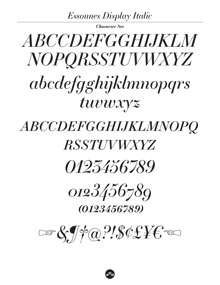**Essonnes Display Italic** 

**Character Set** 

# ABCCDEFGGHLIKLM NOPORSSTUVWXYZ abcdefgghijklmnopgrs tuvwxyz ABCCDEFGGHIJKLMNOPQ

**RSSTUVWXYZ** 

*0123436789* 

0123456789 (0123456789)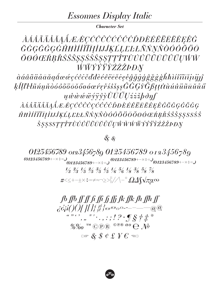## *Essonnes Display Italic*

**Character Set** 

*ÀÁÁÃÄÄÁÁÁÆÆÇĆĈČČČČČŎĐÈÉÊËĒĔĔĘĚĜ* ĞĠĢĞĜĢĠĤĦÌÍÎĨĨĪĮİIJĴĶĹĻĿĿŁÑŃŅŇÒÓÔÕÖŌ ŎØŐŒŔŖŘŚŜŠŞŞŚŠŜŞŞŢŢŤŦÙŰŮÜŨŨŬŮŰŲŴŴ ŴŴŶŶŸŶŹŻŽ*ÞĐŊ* 

àáâãäåāāaąåææçćĉċčďđèéêëēĕęèĝğġģĝğğğkhìíîïīiįijjĵ ķĺļľŀłñńņňòóôõöōŏőøøœŕŗřśŝšşşĜĠĢỳĞßţţťŧùúûüũūŭůű *uwwwwyyrydUUUzzzbonf* 

*ÀÁÂÃÄÄĂĄÅÆÉÇĆĈČĊÇĆĈČŎĐÈÉÊËĒĔĔĘĚĜĞĠĢĜĞĠĢ* ĤĦÌÍĨĨĨĨĮİIJĴĶĹĻĽĿŁÑŃŅŇÒÓÔÕÖŌŎØÓŒŔŖŘŚŜŠŞŞSSŚŜ *ŠŞŞSSTŢŤŦÙÚŮÜŨŪŬŮŰŲŴŴŴŴÝŶŸŶŹŻŽPĐŊ* 

 $&$  &

0123456789 0123456789 0123456789 0123456789 (0123456789+- $\times\div$ =,)<br>(0123456789+- $\times\div$ =,)<sup>(0123456789+- $\times\div$ =,)<sub>(0123456789+- $\times\div$ =,)</sub></sup>  $\frac{1}{3}$   $\frac{2}{3}$   $\frac{1}{5}$   $\frac{2}{5}$   $\frac{3}{5}$   $\frac{4}{5}$   $\frac{1}{6}$   $\frac{5}{6}$   $\frac{1}{8}$   $\frac{3}{8}$   $\frac{5}{8}$   $\frac{7}{8}$ #<≤+-±×÷=≠≈¬≥>||//\-° Ω∆∫√πµ∞

> fb ffb ff ff fi ffi ff ff fk ffk fh ffh ff  $\ddot{c}$  $\ddot{c}$  $\ddot{q}$  $\ddot{q}$  $\ddot{q}$  $\ddot{q}$  $\ddot{q}$  $\ddot{q}$  $\ddot{q}$  $\ddot{q}$  $\ddot{q}$  $\ddot{q}$  $\ddot{q}$  $\ddot{q}$  $\ddot{q}$  $\ddot{q}$  $\ddot{q}$  $\ddot{q}$  $\ddot{q}$  $\ddot{q}$  $\ddot{q}$  $\ddot{q}$  $\ddot{q}$  $\ddot{q}$  $\ddot{q}$  $\ddot{q}$  $\ddot{q}$  $\ddot{$  $\left( \widehat{a}\right) \widehat{a}$  $\mathbb{C}$  of  $\mathcal{S}$   $\ell$  f  $\mathcal{E}$   $\mathcal{E}$   $\infty$

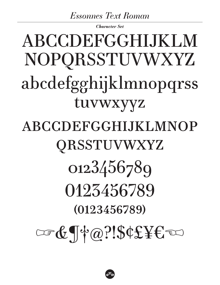# **Essonnes Text Roman**

**Character Set** 

# **ABCCDEFGGHLIKLM** NOPQRSSTUVWXYZ abcdefgghijklmnopqrss tuvwxyyz ABCCDEFGGHIJKLMNOP QRSSTUVWXYZ 0123456789 0123456789  $(0123456789)$  $C = 6 \text{ TeV}$

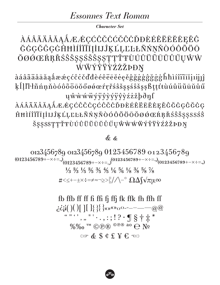## **Essonnes Text Roman**

**Character Set** 

## ÀÁÂÃÄÄÅĂĄÅÆÆÇĆĈČČČČČČDĐÈÉÊËĒĔĖĘĚĜ ĞĠĢĞĜĢĠĤĦÌÍÎĨĨĨĨĮİIJĴĶĹĻĽĿŁÑŃŅŇÒÓÔÕÖŌ ŎØÓŒŔŖŘŚŜŠŞŞŚŠŜŞŞŢŢŤŦÙÚÛÜŨŨŬŮŰŲŴŴ ŴŴÝŶŸŶŹŻŽÞĐŊ

 $\hat{{\rm a}}\hat{{\rm a}}\hat{{\rm a}}\tilde{{\rm a}}\tilde{{\rm a}}\tilde{{\rm a}}\tilde{{\rm a}}\hat{{\rm a}}\hat{{\rm e}}\hat{{\rm e}}\hat{{\rm c}}\hat{{\rm c}}\hat{{\rm c}}\tilde{{\rm c}}\tilde{{\rm d}}\tilde{{\rm d}}\hat{{\rm e}}\hat{{\rm e}}\hat{{\rm e}}\tilde{{\rm e}}\tilde{{\rm e}}\tilde{{\rm e}}\hat{{\rm e}}\hat{{\rm e}}\hat{{\rm e}}\hat{{\rm g}}\tilde{{\rm g}}\tilde{{\rm g}}\tilde{{\rm g}}\tilde{{$ kĺlll·lñnnňdóôõöööőøøærrrssssssssssssktttuúûüūūŭůű *u*ŵwwwyyyyyyyyzzzbdnf

ÀÁÂÃÄÄĂĄÁÆÆÇĆĈČĊÇĆĈČĊĎĐÈÉÊËĒĔĔĘĚĜĞĠĢĜĞĠĢ ĤĦÌÍÎÏĨĨĮİIJĴĶĹĻĽĿŁÑŃŅŇÒÓÔÕÖŌŎØØŒŔŖŘŚŜŠŞŞSSŚŜ ŠŞŞSSTŢŤŦÙÚÛÜŨŨŨŮŰŲŴŴŴŴÝŶŸŶŹŻŽÞĐŊ

## $\mathbf{\&} \mathbf{\&}$

0123456789 0123456789 0123456789 0123456789  $(0123456789+\cdots)$ <br> $(0123456789+\cdots)$ <br> $(0123456789+\cdots)$ <br> $(0123456789+\cdots)$ <br> $(0123456789+\cdots)$  $\frac{1}{3}$   $\frac{2}{3}$   $\frac{1}{5}$   $\frac{2}{5}$   $\frac{3}{5}$   $\frac{4}{5}$   $\frac{1}{6}$   $\frac{5}{6}$   $\frac{1}{8}$   $\frac{3}{8}$   $\frac{5}{8}$   $\frac{7}{8}$ #<≤+−±×÷=≠≈¬≥>|¦//\−°Ω∆∫√πμ∞

> $\ddot{\mathbf{g}}$   $\ddot{\mathbf{g}}$   $\ddot{\mathbf{g}}$   $\ddot{\mathbf{g}}$   $\ddot{\mathbf{g}}$   $\ddot{\mathbf{g}}$   $\ddot{\mathbf{g}}$   $\ddot{\mathbf{g}}$   $\ddot{\mathbf{g}}$   $\ddot{\mathbf{g}}$   $\ddot{\mathbf{g}}$   $\ddot{\mathbf{g}}$   $\ddot{\mathbf{g}}$   $\ddot{\mathbf{g}}$   $\ddot{\mathbf{g}}$  $\begin{array}{c} \n\sqrt{2} & \cdots & \cdots & \cdots \\ \n\sqrt{2} & \cdots & \cdots & \cdots \\ \n\sqrt{2} & \sqrt{2} & \cdots & \cdots \end{array}$  $\infty$  &  $\text{\$ } f \in \text{\$ } g \in \text{\$ } g$

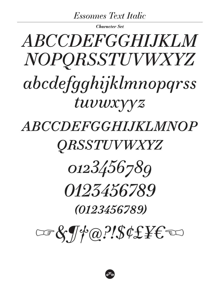**Essonnes Text Italic** 

**Character Set** 

# ABCCDEFGGHLIKLM NOPORSSTUVWXYZ abcdefgghijklmnopgrss tuvuxyyz *ABCCDEFGGHIJKLMNOP*

# *QRSSTUVWXYZ*



# *0123456789*

(0123456789)

 $\cos\theta\sqrt{\phi}a?! \sin\theta \pm \sin\theta$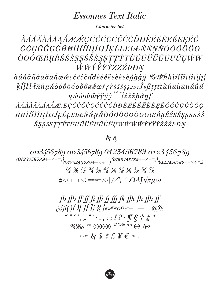## *Essonnes Text Italic*

**Character Set** 

*ÀÁÁÃÄÄÅĂĄÅÆÆÇĆĈČĊĆĊĊŎĐÈÉÊËĒĔĔĘĚĜ* ĞĠĢĞĜĢĠĤĦÌÍÎĨĨĪĮİIJĴĶĹĻĽĿŁÑŃŅŇÒÓÔÕÖŌ ŎØÓŒŔŖŘŚŜŠŞȘŚŠŜŞŞŢŢŤŦÙÚŮŮŨŪŬŮŰŲŴŴ ŴŴŶŶŸŶŹŻŽÞĐŊ

 $\hat{a} \hat{a} \hat{a} \tilde{a} \tilde{a} \tilde{a} \tilde{a} \tilde{a} \tilde{q} \hat{d} \alpha \hat{e} \varphi \hat{c} \hat{c} \dot{c} \dot{c} \dot{d} \tilde{d} \tilde{e} \hat{e} \hat{e} \tilde{e} \tilde{e} \tilde{e} \tilde{e} \dot{\varphi} \tilde{g} \tilde{g} \tilde{g} \tilde{g}^{-}$  $\it{ klllll}$  tñnnňòóôõöōŏőøøæŕŗřśŝšşs $\it{s}$ s $\it{s}$ s $\it{ s}$ ftttùúû $\it{ u}$ ū $\it{ \tilde{ u}}$ u $\it{ \tilde{ u}}$  $u\hat{w}\hat{w}\hat{w}\hat{w}\hat{y}\hat{y}\hat{y}\hat{y}$ <sup>o^</sup>  $\{z\hat{z}\hat{z}\hat{b}\hat{\theta}\hat{\eta}\}$ 

ÀÁÂÃÄÄÅĂĄÅÆÆÇĆĈČĊÇĆĈČŎĐÈÉÊËĒĔĔĘĚĜĞĠĢĜĞĠĢ ĤĦÌÍÎÏĨĪĮİIJĴĶĹĻĽĿŁÑŃŅŇÒÓÔÕÖŌŎØÓŒŔŖŘŚŜŠŞŞSSŚŜ ŠŞŞSSTTŤŦÙÚÛÜŨŨŨŮŰŲŴŴŴŴÝŶŸŶŹŻŽPĐŊ

## & &

0123456789 0123456789 0123456789 0123456789  $(0123456789+-\times \div =)$ <br> $(0123456789+ \times \div =)$ <br> $(0123456789+ \times \div =)$ <br> $(0123456789+ \times \div =)$  $\frac{1}{3}$   $\frac{2}{3}$   $\frac{1}{5}$   $\frac{2}{5}$   $\frac{3}{5}$   $\frac{4}{5}$   $\frac{1}{6}$   $\frac{5}{6}$   $\frac{1}{8}$   $\frac{3}{8}$   $\frac{5}{8}$   $\frac{7}{8}$ #<≤+-±×÷=≠≈¬≥>|¦//\-°Ω∆∫√πµ∞

> fb ffb ff ff fi ffi fj ffi fk ffk fh ffh ff  $\ddot{c}$  $\ddot{c}$  $\ddot{i}$  $\ddot{i}$  $\dot{j}$  $\dot{j}$  $\dot{j}$  $\dot{j}$  $\dot{j}$  $\dot{j}$  $\dot{j}$  $\dot{k}$  $\dot{k}$   $\dot{k}$   $\dot{k}$   $\dot{k}$ <br>  $\ddot{k}$   $\dddot{k}$   $\dddot{k}$   $\dddot{k}$   $\dddot{k}$   $\dddot{k}$   $\dddot{k}$   $\dddot{k}$   $\dddot{k}$   $\dddot{k}$   $\dddot{k}$   $\dddot{k}$   $\dddot{k}$   $\dddot{k}$   $\$  $\varpi$  & \$  $\ell$  £  $\neq$   $\epsilon$   $\infty$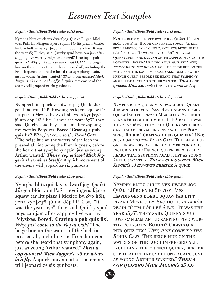#### *Regular/Italic/Bold/Bold Italic 10/13 point*

Nymphs blitz quick vex dwarf jog. Quäkt Jürgen blöd vom Paß. Høvdingens kjære squaw �år litt pizza i Mexico by. Svo hölt, yxna kýr þegði jú um dóp í fé á bæ. "It was the year 1576", they said. Quirky spud boys can jam after zapping five worthy Polysixes. **Bored? Craving a pub quiz fix?** *Why, just come to the Royal Oak!* "The beige hue on the waters of the loch impressed all, including the French queen, before she heard that symphony again, just as young Arthur wanted." *Then a cop quizzed Mick Jagger's 23 ex-wives briefly.* A quick movement of the enemy will jeopardize six gunboats.

#### *Regular/Italic/Bold/Bold Italic 12/14 point*

Nymphs blitz quick vex dwarf jog. Quäkt Jürgen blöd vom Paß. Høvdingens kjære squaw �år litt pizza i Mexico by. Svo hölt, yxna kýr þegði jú um dóp í fé á bæ. "It was the year 1576", they said. Quirky spud boys can jam after zapping five worthy Polysixes. **Bored? Craving a pub quiz fix?** *Why, just come to the Royal Oak!* "The beige hue on the waters of the loch impressed all, including the French queen, before she heard that symphony again, just as young Arthur wanted." *Then a cop quizzed Mick Jagger's 23 ex-wives briefly.* A quick movement of the enemy will jeopardize six gunboats.

#### *Regular/Italic/Bold/Bold Italic 14/16 point*

Nymphs blitz quick vex dwarf jog. Quäkt Jürgen blöd vom Paß. Høvdingens kjære squaw �år litt pizza i Mexico by. Svo hölt, yxna kýr þegði jú um dóp í fé á bæ. "It was the year 1576", they said. Quirky spud boys can jam after zapping five worthy Polysixes. **Bored? Craving a pub quiz fix?** *Why, just come to the Royal Oak!* "The beige hue on the waters of the loch impressed all, including the French queen, before she heard that symphony again, just as young Arthur wanted." *Then a cop quizzed Mick Jagger's 23 ex-wives briefly.* A quick movement of the enemy will jeopardize six gunboats.

#### *Regular/Italic/Bold/Bold Italic 10/13 point*

Nymphs blitz quick vex dwarf jog. Quäkt Jürgen blöd vom Pass. Høvdingens kjære squaw får litt pizza i Mexico by. Svo hölt, yxna kýr þegði jú um dóp í fé á bæ. "It was the year 1576", they said. Quirky spud boys can jam after zapping five worthy Polysixes. **Bored? Craving a pub quiz fix?** *Why, just come to the Royal Oak!* "The beige hue on the waters of the loch impressed all, including the French queen, before she heard that symphony again, just as young Arthur wanted." *Then a cop quizzed Mick Jagger's 23 ex-wives briefly.* A quick

#### *Regular/Italic/Bold/Bold Italic 12/14 point*

Nymphs blitz quick vex dwarf jog. Quäkt Jürgen blöd vom Pass. Høvdingens kjære squaw �år litt pizza i Mexico by. Svo hölt, yxna kýr þegði jú um dóp í fé á bæ. "It was the year 1576", they said. Quirky spud boys can jam after zapping five worthy Polysixes. **Bored? Craving a pub quiz fix?** *Why, just come to the Royal Oak!* "The beige hue on the waters of the loch impressed all, including the French queen, before she heard that symphony again, just as young Arthur wanted." *Then a cop quizzed Mick*  JAGGER'S 23 EX-WIVES BRIEFLY. A QUICK

#### *Regular/Italic/Bold/Bold Italic 14/16 point*

Nymphs blitz quick vex dwarf jog. Quäkt Jürgen blöd vom Pass. Høvdingens kjære squaw får litt pizza i Mexico by. Svo hölt, yxna kýr þegði jú um dóp í fé á bæ. "It was the YEAR 1576", THEY SAID. QUIRKY SPUD boys can jam after zapping five worthy Polysixes. **Bored? Craving a pub quiz fix?** *Why, just come to the Royal Oak!* "The beige hue on the waters of the loch impressed all, including the French queen, before she heard that symphony again, just as young Arthur wanted." *Then a cop quizzed Mick Jagger's 23 ex-*

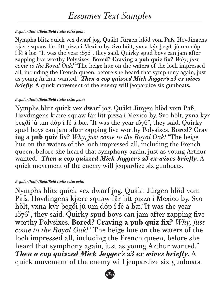### *Regular/Italic/Bold/Bold Italic 16/18 point*

Nymphs blitz quick vex dwarf jog. Quäkt Jürgen blöd vom Paß. Høvdingens kjære squaw �år litt pizza i Mexico by. Svo hölt, yxna kýr þegði jú um dóp í fé á bæ. "It was the year 1576", they said. Quirky spud boys can jam after zapping five worthy Polysixes. **Bored? Craving a pub quiz fix?** *Why, just come to the Royal Oak!* "The beige hue on the waters of the loch impressed all, including the French queen, before she heard that symphony again, just as young Arthur wanted." *Then a cop quizzed Mick Jagger's 23 ex-wives*  briefly. A quick movement of the enemy will jeopardize six gunboats.

### *Regular/Italic/Bold/Bold Italic 18/20 point*

Nymphs blitz quick vex dwarf jog. Quäkt Jürgen blöd vom Paß. Høvdingens kjære squaw �år litt pizza i Mexico by. Svo hölt, yxna kýr þegði jú um dóp í fé á bæ. "It was the year 1576", they said. Quirky spud boys can jam after zapping five worthy Polysixes. **Bored? Craving a pub quiz fix?** *Why, just come to the Royal Oak!* "The beige hue on the waters of the loch impressed all, including the French queen, before she heard that symphony again, just as young Arthur wanted." *Then a cop quizzed Mick Jagger's 23 ex-wives briefly.* A quick movement of the enemy will jeopardize six gunboats.

### *Regular/Italic/Bold/Bold Italic 22/22 point*

Nymphs blitz quick vex dwarf jog. Quäkt Jürgen blöd vom Paß. Høvdingens kjære squaw �år litt pizza i Mexico by. Svo hölt, yxna kýr þegði jú um dóp í fé á bæ."It was the year 1576", they said. Quirky spud boys can jam after zapping five worthy Polysixes. **Bored? Craving a pub quiz fix?** *Why, just come to the Royal Oak!* "The beige hue on the waters of the loch impressed all, including the French queen, before she heard that symphony again, just as young Arthur wanted." *Then a cop quizzed Mick Jagger's 23 ex-wives briefly.* A quick movement of the enemy will jeopardize six gunboats.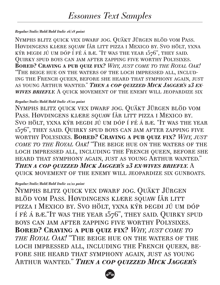### *Regular/Italic/Bold/Bold Italic 16/18 point*

Nymphs blitz quick vex dwarf jog. Quäkt Jürgen blöd vom Pass. Høvdingens kjære squaw får litt pizza i Mexico by. Svo hölt, yxna kýr þegði jú um dóp í fé á bæ. "It was the year 1576", they said. Quirky spud boys can jam after zapping five worthy Polysixes. **Bored? Craving a pub quiz fix?** *Why, just come to the Royal Oak!* "The beige hue on the waters of the loch impressed all, including the French queen, before she heard that symphony again, just as young Arthur wanted." *Then a cop quizzed Mick Jagger's 23 exwives briefly.* A quick movement of the enemy will jeopardize six

### *Regular/Italic/Bold/Bold Italic 18/20 point*

Nymphs blitz quick vex dwarf jog. Quäkt Jürgen blöd vom PASS. HØVDINGENS KJÆRE SQUAW JÅR LITT PIZZA I MEXICO BY. Svo hölt, yxna kýr þegði jú um dóp í fé á bæ. "It was the year 1576", they said. Quirky spud boys can jam after zapping five worthy Polysixes. **Bored? Craving a pub quiz fix?** *Why, just come to the Royal Oak!* "The beige hue on the waters of the loch impressed all, including the French queen, before she heard that symphony again, just as young Arthur wanted." *Then a cop quizzed Mick Jagger's 23 ex-wives briefly.* A quick movement of the enemy will jeopardize six gunboats.

### *Regular/Italic/Bold/Bold Italic 22/22 point*

Nymphs blitz quick vex dwarf jog. Quäkt Jürgen blöd vom Pass. Høvdingens kjære squaw �år litt pizza i Mexico by. Svo hölt, yxna kýr þegði jú um dóp í fé á bæ."It was the year 1576", they said. Quirky spud boys can jam after zapping five worthy Polysixes. **Bored? Craving a pub quiz fix?** *Why, just come to the Royal Oak!* "The beige hue on the waters of the loch impressed all, including the French queen, be-FORE SHE HEARD THAT SYMPHONY AGAIN, JUST AS YOUNG Arthur wanted." *Then a cop quizzed Mick Jagger's* 

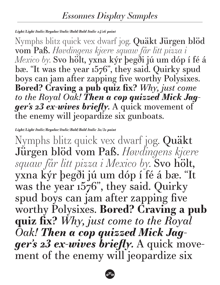## *Light/Light Italic/Regular/Italic/Bold/Bold Italic 24/26 point*

Nymphs blitz quick vex dwarf jog. Quäkt Jürgen blöd vom Paß. *Høvdingens kjære squaw �år litt pizza i Mexico by.* Svo hölt, yxna kýr þegði jú um dóp í fé á bæ. "It was the year 1576", they said. Quirky spud boys can jam after zapping five worthy Polysixes. **Bored? Craving a pub quiz fix?** *Why, just come to the Royal Oak! Then a cop quizzed Mick Jagger's 23 ex-wives briefly.* A quick movement of the enemy will jeopardize six gunboats.

## *Light/Light Italic/Regular/Italic/Bold/Bold Italic 30/32 point*

Nymphs blitz quick vex dwarf jog. Quäkt Jürgen blöd vom Paß. *Høvdingens kjære squaw �år litt pizza i Mexico by.* Svo hölt, yxna kýr þegði jú um dóp í fé á bæ. "It was the year 1576", they said. Quirky spud boys can jam after zapping five worthy Polysixes. **Bored? Craving a pub quiz fix?** *Why, just come to the Royal Oak! Then a cop quizzed Mick Jagger's 23 ex-wives briefly.* A quick movement of the enemy will jeopardize six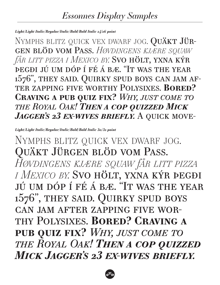## *Light/Light Italic/Regular/Italic/Bold/Bold Italic 24/26 point*

NYMPHS BLITZ QUICK VEX DWARF JOG. QUÄKT JÜRgen blöd vom Pass. *Høvdingens kj�re squaw �år litt pizza i Mexico by.* Svo hölt, yxna kýr þegði jú um dóp í fé á bæ. "It was the year 1576", they said. Quirky spud boys can jam after zapping five worthy Polysixes. **Bored? Craving a pub quiz fix?** *Why, just come to the Royal Oak! Then a cop quizzed Mick*  JAGGER'S 23 EX-WIVES BRIEFLY. A QUICK MOVE-

*Light/Light Italic/Regular/Italic/Bold/Bold Italic 30/32 point*

NYMPHS BLITZ QUICK VEX DWARF JOG. Quäkt Jürgen blöd vom Pass. *Høvdingens kjære squaw �år litt pizza i Mexico by.* Svo hölt, yxna kýr þegði jú um dóp í fé á bæ. "It was the year 1576", they said. Quirky spud boys can jam after zapping five worthy Polysixes. **Bored? Craving a pub quiz fix?** *Why, just come to the Royal Oak! Then a cop quizzed Mick Jagger's 23 ex-wives briefly.*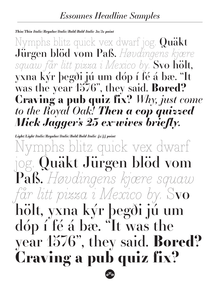## *Thin/Thin Italic/Regular/Italic/Bold/Bold Italic 30/32 point*

Nymphs blitz quick vex dwarf jog. Quäkt Jürgen blöd vom Paß. *Høvdingens kjære squaw �år litt pizza i Mexico by.* Svo hölt, yxna kýr þegði jú um dóp í fé á bæ. "It was the year 1576", they said. **Bored? Craving a pub quiz fix?** *Why, just come to the Royal Oak! Then a cop quizzed Mick Jagger's 23 ex-wives briefly.*

*Light/Light Italic/Regular/Italic/Bold/Bold Italic 42/44 point* mphs blitz quick vex dwarf jog. Quäkt Jürgen blöd vom Paß. *Høvdingens kjære squaw �år litt pizza i Mexico by.* Svo hölt, yxna kýr þegði jú um dóp í fé á bæ. "It was the year 1576", they said. **Bored? Craving a pub quiz fix?**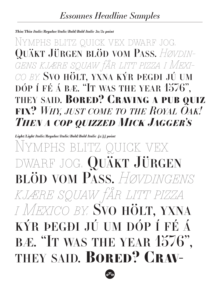## *Thin/Thin Italic/Regular/Italic/Bold/Bold Italic 30/32 point*

Nymphs blitz quick vex dwarf jog. Quäkt Jürgen blöd vom Pass. *Høvdingens kjære squaw �år litt pizza i Mexico by.* Svo hölt, yxna kýr þegði jú um dóp í fé á bæ. "It was the year 1576", they said. **Bored? Craving a pub quiz fix?** *Why, just come to the Royal Oak! Then a cop quizzed Mick Jagger's* 

*Light/Light Italic/Regular/Italic/Bold/Bold Italic 42/44 point*

Nymphs blitz quick vex dwarf jog. Quäkt Jürgen blöd vom Pass. *Høvdingens kjære squaw �år litt pizza i Mexico by.* Svo hölt, yxna kýr þegði jú um dóp í fé á BÆ. "IT WAS THE YEAR 1576", they said. **Bored? Crav-**